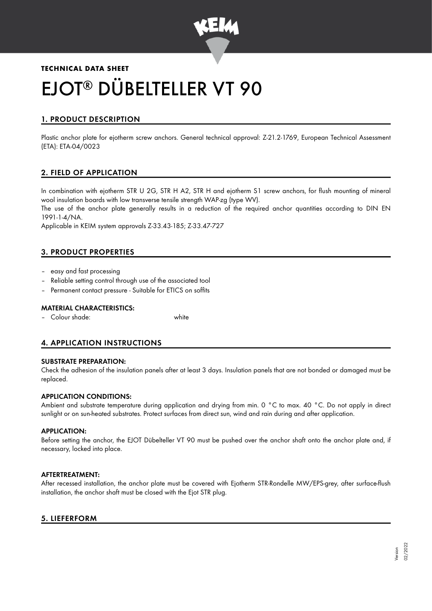

# **TECHNICAL DATA SHEET** EJOT<sup>®</sup> DÜBELTELLER VT 90

# 1. PRODUCT DESCRIPTION

Plastic anchor plate for ejotherm screw anchors. General technical approval: Z-21.2-1769, European Technical Assessment (ETA): ETA-04/0023

# 2. FIELD OF APPLICATION

In combination with ejotherm STR U 2G, STR H A2, STR H and ejotherm S1 screw anchors, for flush mounting of mineral wool insulation boards with low transverse tensile strength WAP-zg (type WV).

The use of the anchor plate generally results in a reduction of the required anchor quantities according to DIN EN 1991-1-4/NA.

Applicable in KEIM system approvals Z-33.43-185; Z-33.47-727

# 3. PRODUCT PROPERTIES

- easy and fast processing
- Reliable setting control through use of the associated tool
- Permanent contact pressure Suitable for ETICS on soffits

#### MATERIAL CHARACTERISTICS:

– Colour shade: white

# 4. APPLICATION INSTRUCTIONS

### SUBSTRATE PREPARATION:

Check the adhesion of the insulation panels after at least 3 days. Insulation panels that are not bonded or damaged must be replaced.

## APPLICATION CONDITIONS:

Ambient and substrate temperature during application and drying from min. 0 °C to max. 40 °C. Do not apply in direct sunlight or on sun-heated substrates. Protect surfaces from direct sun, wind and rain during and after application.

#### APPLICATION:

Before setting the anchor, the EJOT Dübelteller VT 90 must be pushed over the anchor shaft onto the anchor plate and, if necessary, locked into place.

#### AFTERTREATMENT:

After recessed installation, the anchor plate must be covered with Ejotherm STR-Rondelle MW/EPS-grey, after surface-flush installation, the anchor shaft must be closed with the Ejot STR plug.

## 5. LIEFERFORM